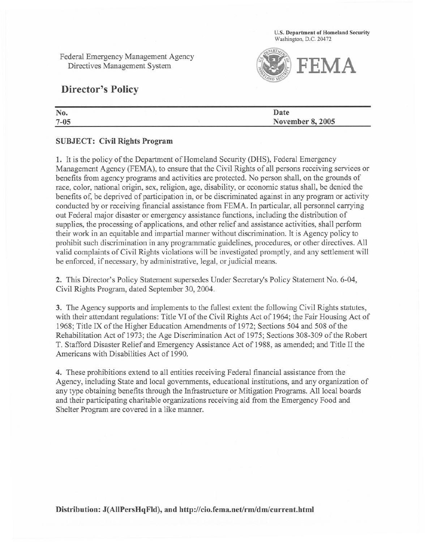U.S. Department of Homeland Security Washington, D.C. 20472

Federal Emergency Management Agency Directives Management System



## Director's Policy

| No.      | Date                    |  |
|----------|-------------------------|--|
| $7 - 05$ | <b>November 8, 2005</b> |  |
|          |                         |  |

## SUBJECT: Civil Rights Program

1. It is the policy of the Department of Homeland Security (DHS), Federal Emergency Management Agency (FEMA), to ensure that the Civil Rights of all persons receiving services or benefits from agency programs and activities are protected. No person shall, on the grounds of race, color, national origin, sex, religion, age, disability, or economic status shall, be denied the benefits of, be deprived of participation in, or be discriminated against in any program or activity conducted by or receiving financial assistance from FEMA. In particular, all personnel carrying out Federal major disaster or emergency assistance functions, including the distribution of supplies, the processing of applications, and other relief and assistance activities, shall perform their work in an equitable and impartial manner without discrimination. It is Agency policy to prohibit such discrimination in any programmatic guidelines, procedures, or other directives. All valid complaints of Civil Rights violations will be investigated promptly, and any settlement will be enforced, if necessary, by administrative, legal, or judicial means.

2. This Director's Policy Statement supersedes Under Secretary's Policy Statement No. 6-04, Civil Rights Program, dated September 30,2004.

3. The Agency supports and implements to the fullest extent the following Civil Rights statutes, with their attendant regulations: Title VI of the Civil Rights Act of 1964; the Fair Housing Act of 1968; Title IX of the Higher Education Amendments of 1972; Sections 504 and 508 of the Rehabilitation Act of 1973; the Age Discrimination Act of 1975; Sections 308-309 of the Robert T. Stafford Disaster Relief and Emergency Assistance Act of 1988, as amended; and Title II the Americans with Disabilities Act of 1990.

4. These prohibitions extend to all entities receiving Federal financial assistance from the Agency, including State and local governments, educational institutions, and any organization of any type obtaining benefits through the Infrastructure or Mitigation Programs. All local boards and their participating charitable organizations receiving aid from the Emergency Food and Shelter Program are covered in a like manner.